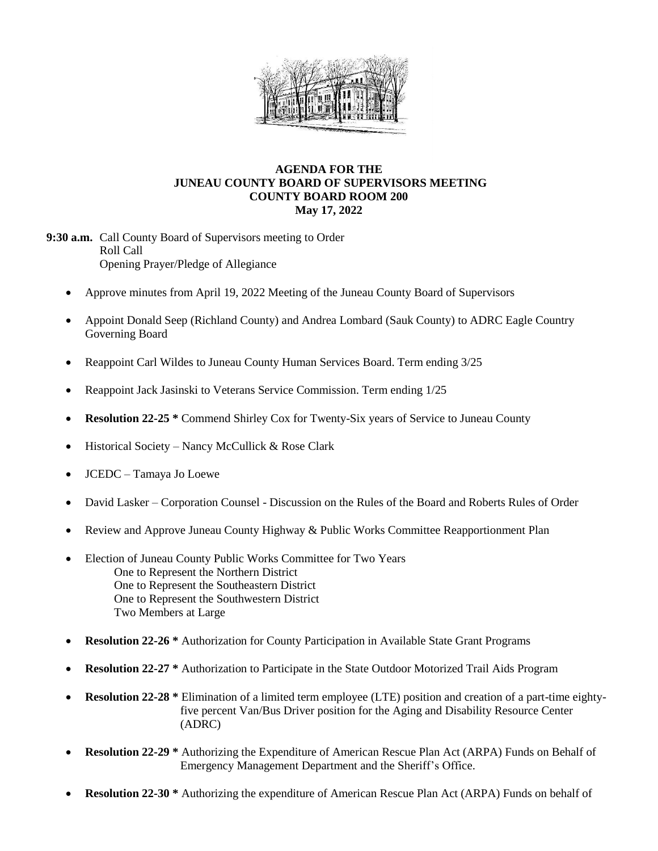

### **AGENDA FOR THE JUNEAU COUNTY BOARD OF SUPERVISORS MEETING COUNTY BOARD ROOM 200 May 17, 2022**

**9:30 a.m.** Call County Board of Supervisors meeting to Order Roll Call Opening Prayer/Pledge of Allegiance

- Approve minutes from April 19, 2022 Meeting of the Juneau County Board of Supervisors
- Appoint Donald Seep (Richland County) and Andrea Lombard (Sauk County) to ADRC Eagle Country Governing Board
- Reappoint Carl Wildes to Juneau County Human Services Board. Term ending 3/25
- Reappoint Jack Jasinski to Veterans Service Commission. Term ending 1/25
- **Resolution 22-25** \* Commend Shirley Cox for Twenty-Six years of Service to Juneau County
- $\bullet$  Historical Society Nancy McCullick & Rose Clark
- JCEDC Tamaya Jo Loewe
- David Lasker Corporation Counsel Discussion on the Rules of the Board and Roberts Rules of Order
- Review and Approve Juneau County Highway & Public Works Committee Reapportionment Plan
- Election of Juneau County Public Works Committee for Two Years One to Represent the Northern District One to Represent the Southeastern District One to Represent the Southwestern District Two Members at Large
- **Resolution 22-26** \* Authorization for County Participation in Available State Grant Programs
- **Resolution 22-27 \*** Authorization to Participate in the State Outdoor Motorized Trail Aids Program
- **Resolution 22-28 \*** Elimination of a limited term employee (LTE) position and creation of a part-time eighty five percent Van/Bus Driver position for the Aging and Disability Resource Center (ADRC)
- **Resolution 22-29 \*** Authorizing the Expenditure of American Rescue Plan Act (ARPA) Funds on Behalf of Emergency Management Department and the Sheriff's Office.
- **Resolution 22-30 \*** Authorizing the expenditure of American Rescue Plan Act (ARPA) Funds on behalf of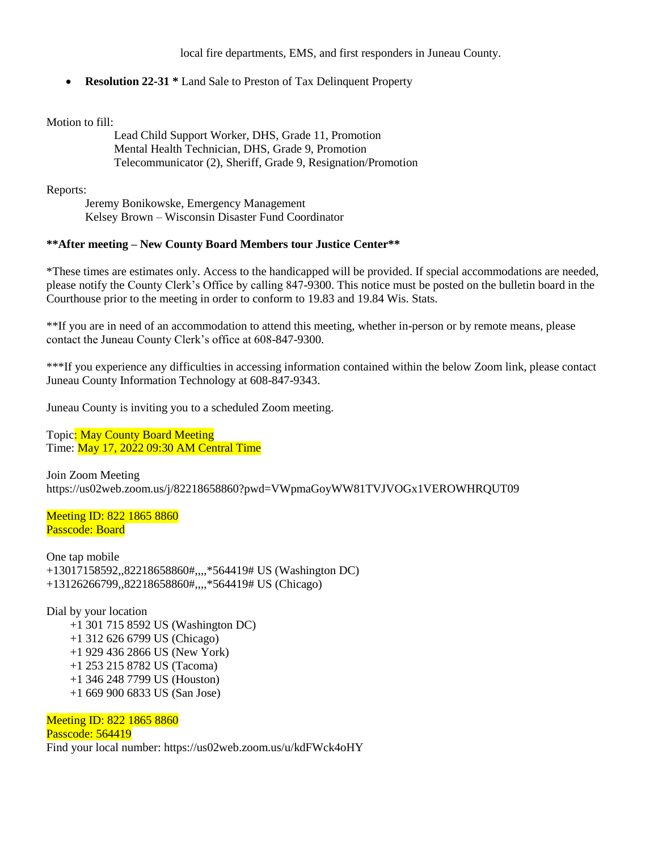local fire departments, EMS, and first responders in Juneau County.

• **Resolution 22-31** \* Land Sale to Preston of Tax Delinquent Property

Motion to fill:

Lead Child Support Worker, DHS, Grade 11, Promotion Mental Health Technician, DHS, Grade 9, Promotion Telecommunicator (2), Sheriff, Grade 9, Resignation/Promotion

Reports:

Jeremy Bonikowske, Emergency Management Kelsey Brown – Wisconsin Disaster Fund Coordinator

### **\*\*After meeting – New County Board Members tour Justice Center\*\***

\*These times are estimates only. Access to the handicapped will be provided. If special accommodations are needed, please notify the County Clerk's Office by calling 847-9300. This notice must be posted on the bulletin board in the Courthouse prior to the meeting in order to conform to 19.83 and 19.84 Wis. Stats.

\*\*If you are in need of an accommodation to attend this meeting, whether in-person or by remote means, please contact the Juneau County Clerk's office at 608-847-9300.

\*\*\*If you experience any difficulties in accessing information contained within the below Zoom link, please contact Juneau County Information Technology at 608-847-9343.

Juneau County is inviting you to a scheduled Zoom meeting.

Topic: May County Board Meeting Time: May 17, 2022 09:30 AM Central Time

Join Zoom Meeting https://us02web.zoom.us/j/82218658860?pwd=VWpmaGoyWW81TVJVOGx1VEROWHRQUT09

Meeting ID: 822 1865 8860 Passcode: Board

One tap mobile +13017158592,,82218658860#,,,,\*564419# US (Washington DC) +13126266799,,82218658860#,,,,\*564419# US (Chicago)

Dial by your location +1 301 715 8592 US (Washington DC) +1 312 626 6799 US (Chicago) +1 929 436 2866 US (New York) +1 253 215 8782 US (Tacoma) +1 346 248 7799 US (Houston) +1 669 900 6833 US (San Jose)

Meeting ID: 822 1865 8860 Passcode: 564419 Find your local number: https://us02web.zoom.us/u/kdFWck4oHY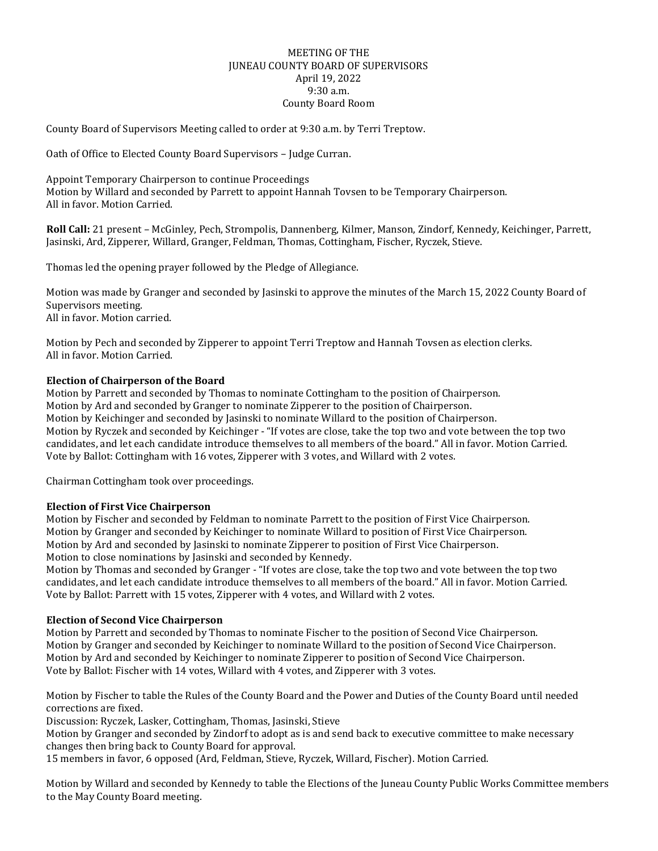#### MEETING OF THE JUNEAU COUNTY BOARD OF SUPERVISORS April 19, 2022 9:30 a.m. County Board Room

County Board of Supervisors Meeting called to order at 9:30 a.m. by Terri Treptow.

Oath of Office to Elected County Board Supervisors – Judge Curran.

Appoint Temporary Chairperson to continue Proceedings Motion by Willard and seconded by Parrett to appoint Hannah Tovsen to be Temporary Chairperson. All in favor. Motion Carried.

**Roll Call:** 21 present – McGinley, Pech, Strompolis, Dannenberg, Kilmer, Manson, Zindorf, Kennedy, Keichinger, Parrett, Jasinski, Ard, Zipperer, Willard, Granger, Feldman, Thomas, Cottingham, Fischer, Ryczek, Stieve.

Thomas led the opening prayer followed by the Pledge of Allegiance.

Motion was made by Granger and seconded by Jasinski to approve the minutes of the March 15, 2022 County Board of Supervisors meeting. All in favor. Motion carried.

Motion by Pech and seconded by Zipperer to appoint Terri Treptow and Hannah Tovsen as election clerks. All in favor. Motion Carried.

### **Election of Chairperson of the Board**

Motion by Parrett and seconded by Thomas to nominate Cottingham to the position of Chairperson. Motion by Ard and seconded by Granger to nominate Zipperer to the position of Chairperson. Motion by Keichinger and seconded by Jasinski to nominate Willard to the position of Chairperson. Motion by Ryczek and seconded by Keichinger - "If votes are close, take the top two and vote between the top two candidates, and let each candidate introduce themselves to all members of the board." All in favor. Motion Carried. Vote by Ballot: Cottingham with 16 votes, Zipperer with 3 votes, and Willard with 2 votes.

Chairman Cottingham took over proceedings.

#### **Election of First Vice Chairperson**

Motion by Fischer and seconded by Feldman to nominate Parrett to the position of First Vice Chairperson. Motion by Granger and seconded by Keichinger to nominate Willard to position of First Vice Chairperson. Motion by Ard and seconded by Jasinski to nominate Zipperer to position of First Vice Chairperson. Motion to close nominations by Jasinski and seconded by Kennedy.

Motion by Thomas and seconded by Granger - "If votes are close, take the top two and vote between the top two candidates, and let each candidate introduce themselves to all members of the board." All in favor. Motion Carried. Vote by Ballot: Parrett with 15 votes, Zipperer with 4 votes, and Willard with 2 votes.

#### **Election of Second Vice Chairperson**

Motion by Parrett and seconded by Thomas to nominate Fischer to the position of Second Vice Chairperson. Motion by Granger and seconded by Keichinger to nominate Willard to the position of Second Vice Chairperson. Motion by Ard and seconded by Keichinger to nominate Zipperer to position of Second Vice Chairperson. Vote by Ballot: Fischer with 14 votes, Willard with 4 votes, and Zipperer with 3 votes.

Motion by Fischer to table the Rules of the County Board and the Power and Duties of the County Board until needed corrections are fixed.

Discussion: Ryczek, Lasker, Cottingham, Thomas, Jasinski, Stieve

Motion by Granger and seconded by Zindorf to adopt as is and send back to executive committee to make necessary changes then bring back to County Board for approval.

15 members in favor, 6 opposed (Ard, Feldman, Stieve, Ryczek, Willard, Fischer). Motion Carried.

Motion by Willard and seconded by Kennedy to table the Elections of the Juneau County Public Works Committee members to the May County Board meeting.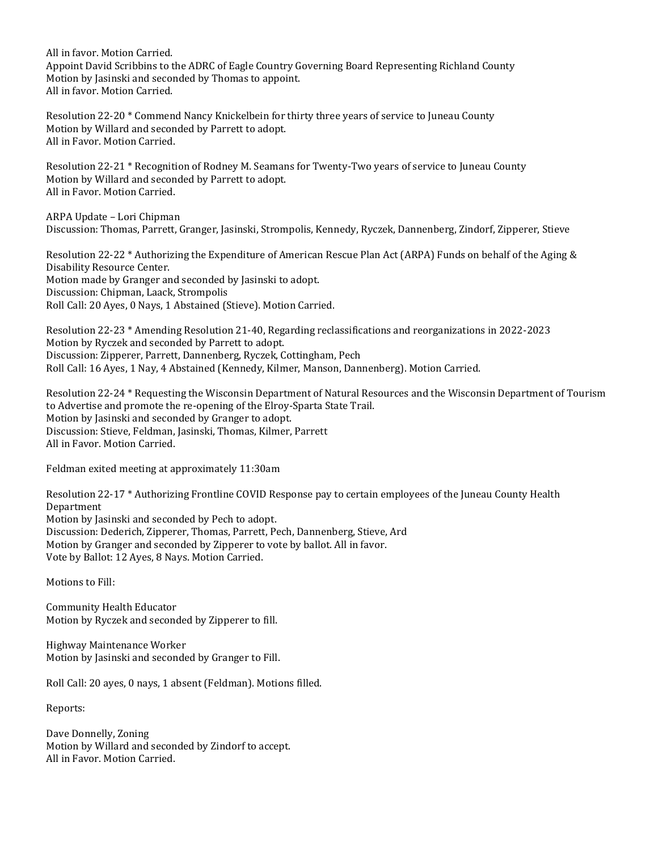All in favor. Motion Carried.

Appoint David Scribbins to the ADRC of Eagle Country Governing Board Representing Richland County Motion by Jasinski and seconded by Thomas to appoint. All in favor. Motion Carried.

Resolution 22-20 \* Commend Nancy Knickelbein for thirty three years of service to Juneau County Motion by Willard and seconded by Parrett to adopt. All in Favor. Motion Carried.

Resolution 22-21 \* Recognition of Rodney M. Seamans for Twenty-Two years of service to Juneau County Motion by Willard and seconded by Parrett to adopt. All in Favor. Motion Carried.

ARPA Update – Lori Chipman Discussion: Thomas, Parrett, Granger, Jasinski, Strompolis, Kennedy, Ryczek, Dannenberg, Zindorf, Zipperer, Stieve

Resolution 22-22 \* Authorizing the Expenditure of American Rescue Plan Act (ARPA) Funds on behalf of the Aging & Disability Resource Center. Motion made by Granger and seconded by Jasinski to adopt. Discussion: Chipman, Laack, Strompolis Roll Call: 20 Ayes, 0 Nays, 1 Abstained (Stieve). Motion Carried.

Resolution 22-23 \* Amending Resolution 21-40, Regarding reclassifications and reorganizations in 2022-2023 Motion by Ryczek and seconded by Parrett to adopt. Discussion: Zipperer, Parrett, Dannenberg, Ryczek, Cottingham, Pech Roll Call: 16 Ayes, 1 Nay, 4 Abstained (Kennedy, Kilmer, Manson, Dannenberg). Motion Carried.

Resolution 22-24 \* Requesting the Wisconsin Department of Natural Resources and the Wisconsin Department of Tourism to Advertise and promote the re-opening of the Elroy-Sparta State Trail. Motion by Jasinski and seconded by Granger to adopt. Discussion: Stieve, Feldman, Jasinski, Thomas, Kilmer, Parrett All in Favor. Motion Carried.

Feldman exited meeting at approximately 11:30am

Resolution 22-17 \* Authorizing Frontline COVID Response pay to certain employees of the Juneau County Health Department Motion by Jasinski and seconded by Pech to adopt. Discussion: Dederich, Zipperer, Thomas, Parrett, Pech, Dannenberg, Stieve, Ard Motion by Granger and seconded by Zipperer to vote by ballot. All in favor. Vote by Ballot: 12 Ayes, 8 Nays. Motion Carried.

Motions to Fill:

Community Health Educator Motion by Ryczek and seconded by Zipperer to fill.

Highway Maintenance Worker Motion by Jasinski and seconded by Granger to Fill.

Roll Call: 20 ayes, 0 nays, 1 absent (Feldman). Motions filled.

Reports:

Dave Donnelly, Zoning Motion by Willard and seconded by Zindorf to accept. All in Favor. Motion Carried.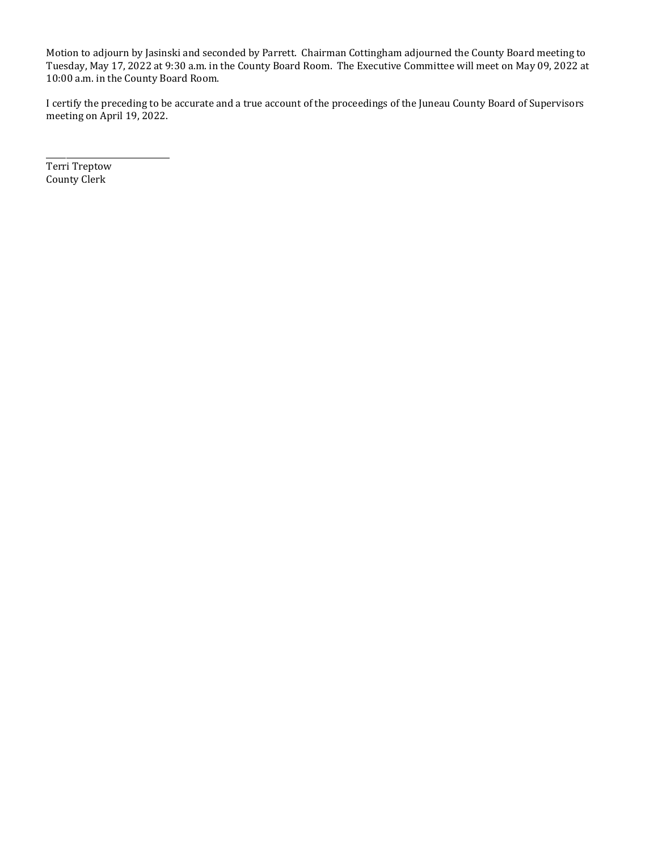Motion to adjourn by Jasinski and seconded by Parrett. Chairman Cottingham adjourned the County Board meeting to Tuesday, May 17, 2022 at 9:30 a.m. in the County Board Room. The Executive Committee will meet on May 09, 2022 at 10:00 a.m. in the County Board Room.

I certify the preceding to be accurate and a true account of the proceedings of the Juneau County Board of Supervisors meeting on April 19, 2022.

Terri Treptow County Clerk

\_\_\_\_\_\_\_\_\_\_\_\_\_\_\_\_\_\_\_\_\_\_\_\_\_\_\_\_\_\_\_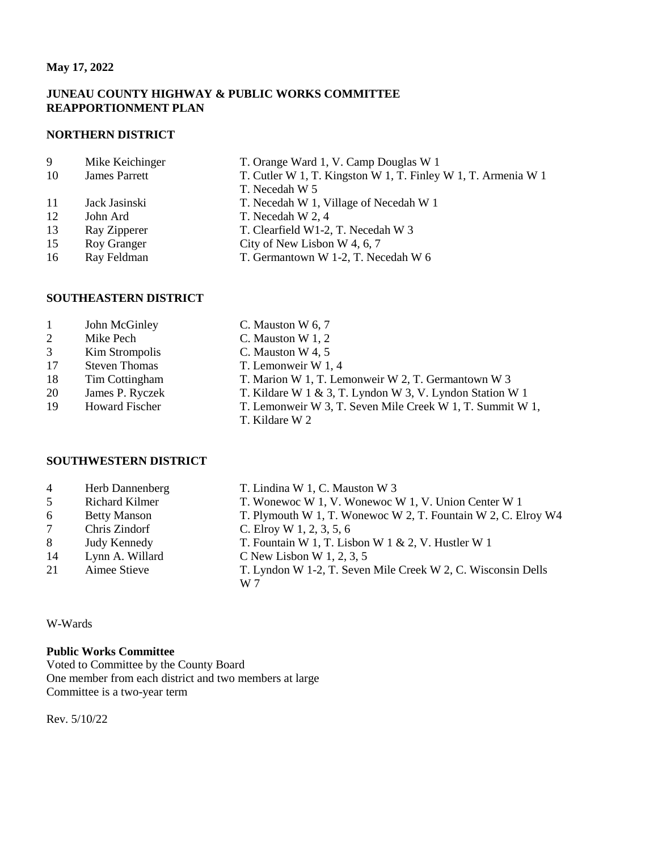### **May 17, 2022**

### **JUNEAU COUNTY HIGHWAY & PUBLIC WORKS COMMITTEE REAPPORTIONMENT PLAN**

#### **NORTHERN DISTRICT**

| 9  | Mike Keichinger      | T. Orange Ward 1, V. Camp Douglas W 1                         |
|----|----------------------|---------------------------------------------------------------|
| 10 | <b>James Parrett</b> | T. Cutler W 1, T. Kingston W 1, T. Finley W 1, T. Armenia W 1 |
|    |                      | T. Necedah W 5                                                |
| 11 | Jack Jasinski        | T. Necedah W 1, Village of Necedah W 1                        |
| 12 | John Ard             | T. Necedah W 2, 4                                             |
| 13 | Ray Zipperer         | T. Clearfield W1-2, T. Necedah W 3                            |
| 15 | Roy Granger          | City of New Lisbon W 4, 6, 7                                  |
| 16 | Ray Feldman          | T. Germantown W 1-2, T. Necedah W 6                           |
|    |                      |                                                               |

### **SOUTHEASTERN DISTRICT**

| John McGinley | C. Mauston W $6, 7$ |
|---------------|---------------------|
|---------------|---------------------|

- 2 Mike Pech C. Mauston W 1, 2
- 3 Kim Strompolis C. Mauston W 4, 5
- 17 Steven Thomas T. Lemonweir W 1, 4
- 18 Tim Cottingham T. Marion W 1, T. Lemonweir W 2, T. Germantown W 3
- 
- 
- 20 James P. Ryczek T. Kildare W 1 & 3, T. Lyndon W 3, V. Lyndon Station W 1
- 19 Howard Fischer T. Lemonweir W 3, T. Seven Mile Creek W 1, T. Summit W 1,
	-

### **SOUTHWESTERN DISTRICT**

- 
- 
- 
- 
- 
- 
- 

W-Wards

### **Public Works Committee**

Voted to Committee by the County Board One member from each district and two members at large Committee is a two-year term

Rev. 5/10/22

- 4 Herb Dannenberg T. Lindina W 1, C. Mauston W 3
- 5 Richard Kilmer T. Wonewoc W 1, V. Wonewoc W 1, V. Union Center W 1
- 6 Betty Manson T. Plymouth W 1, T. Wonewoc W 2, T. Fountain W 2, C. Elroy W4
- 7 Chris Zindorf C. Elroy W 1, 2, 3, 5, 6
- 8 Judy Kennedy T. Fountain W 1, T. Lisbon W 1 & 2, V. Hustler W 1 Lynn A. Willard C New Lisbon W 1, 2, 3, 5
	-
- 21 Aimee Stieve T. Lyndon W 1-2, T. Seven Mile Creek W 2, C. Wisconsin Dells
- 
- 
- 14 Lynn A. Willard C New Lisbon W 1, 2, 3, 5
	- W 7

T. Kildare W 2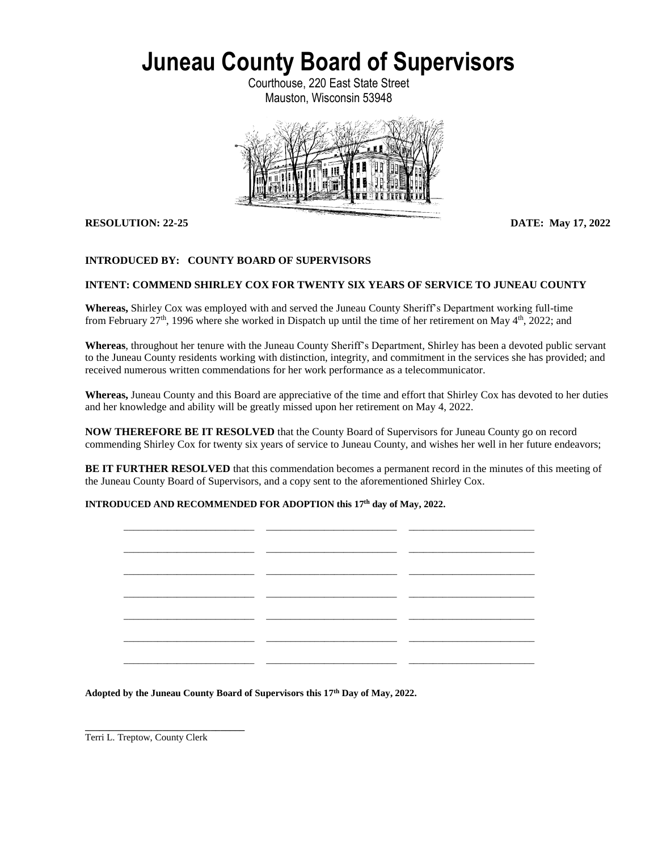Courthouse, 220 East State Street Mauston, Wisconsin 53948



**RESOLUTION: 22-25 DATE: May 17, 2022**

### **INTRODUCED BY: COUNTY BOARD OF SUPERVISORS**

#### **INTENT: COMMEND SHIRLEY COX FOR TWENTY SIX YEARS OF SERVICE TO JUNEAU COUNTY**

**Whereas,** Shirley Cox was employed with and served the Juneau County Sheriff's Department working full-time from February  $27<sup>th</sup>$ , 1996 where she worked in Dispatch up until the time of her retirement on May  $4<sup>th</sup>$ , 2022; and

**Whereas**, throughout her tenure with the Juneau County Sheriff's Department, Shirley has been a devoted public servant to the Juneau County residents working with distinction, integrity, and commitment in the services she has provided; and received numerous written commendations for her work performance as a telecommunicator.

**Whereas,** Juneau County and this Board are appreciative of the time and effort that Shirley Cox has devoted to her duties and her knowledge and ability will be greatly missed upon her retirement on May 4, 2022.

**NOW THEREFORE BE IT RESOLVED** that the County Board of Supervisors for Juneau County go on record commending Shirley Cox for twenty six years of service to Juneau County, and wishes her well in her future endeavors;

**BE IT FURTHER RESOLVED** that this commendation becomes a permanent record in the minutes of this meeting of the Juneau County Board of Supervisors, and a copy sent to the aforementioned Shirley Cox.

#### **INTRODUCED AND RECOMMENDED FOR ADOPTION this 17 th day of May, 2022.**

|               | __<br>_ _            |  |
|---------------|----------------------|--|
|               |                      |  |
|               | - -<br>$\sim$ $\sim$ |  |
|               |                      |  |
|               |                      |  |
|               |                      |  |
|               |                      |  |
| $\sim$ $\sim$ |                      |  |

**Adopted by the Juneau County Board of Supervisors this 17 th Day of May, 2022.**

**\_\_\_\_\_\_\_\_\_\_\_\_\_\_\_\_\_\_\_\_\_\_\_\_\_\_\_\_\_\_\_\_\_** Terri L. Treptow, County Clerk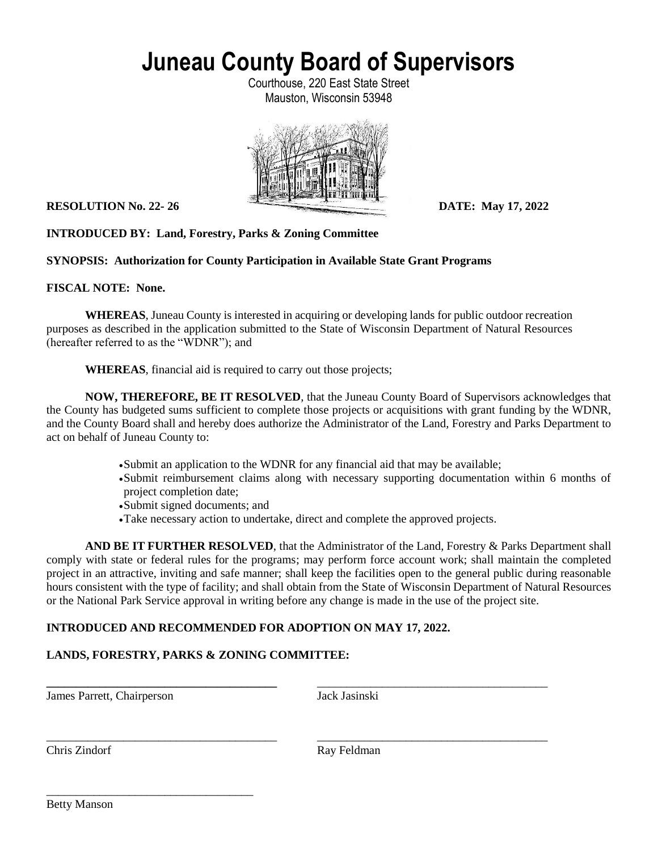Courthouse, 220 East State Street Mauston, Wisconsin 53948



**RESOLUTION No. 22-26 DATE:** May 17, 2022

# **INTRODUCED BY: Land, Forestry, Parks & Zoning Committee**

**SYNOPSIS: Authorization for County Participation in Available State Grant Programs**

**FISCAL NOTE: None.**

**WHEREAS**, Juneau County is interested in acquiring or developing lands for public outdoor recreation purposes as described in the application submitted to the State of Wisconsin Department of Natural Resources (hereafter referred to as the "WDNR"); and

**WHEREAS**, financial aid is required to carry out those projects;

**NOW, THEREFORE, BE IT RESOLVED**, that the Juneau County Board of Supervisors acknowledges that the County has budgeted sums sufficient to complete those projects or acquisitions with grant funding by the WDNR, and the County Board shall and hereby does authorize the Administrator of the Land, Forestry and Parks Department to act on behalf of Juneau County to:

- Submit an application to the WDNR for any financial aid that may be available;
- Submit reimbursement claims along with necessary supporting documentation within 6 months of project completion date;
- Submit signed documents; and
- Take necessary action to undertake, direct and complete the approved projects.

**\_\_\_\_\_\_\_\_\_\_\_\_\_\_\_\_\_\_\_\_\_\_\_\_\_\_\_\_\_\_\_\_\_\_\_\_\_\_\_** \_\_\_\_\_\_\_\_\_\_\_\_\_\_\_\_\_\_\_\_\_\_\_\_\_\_\_\_\_\_\_\_\_\_\_\_\_\_\_

\_\_\_\_\_\_\_\_\_\_\_\_\_\_\_\_\_\_\_\_\_\_\_\_\_\_\_\_\_\_\_\_\_\_\_\_\_\_\_ \_\_\_\_\_\_\_\_\_\_\_\_\_\_\_\_\_\_\_\_\_\_\_\_\_\_\_\_\_\_\_\_\_\_\_\_\_\_\_

**AND BE IT FURTHER RESOLVED**, that the Administrator of the Land, Forestry & Parks Department shall comply with state or federal rules for the programs; may perform force account work; shall maintain the completed project in an attractive, inviting and safe manner; shall keep the facilities open to the general public during reasonable hours consistent with the type of facility; and shall obtain from the State of Wisconsin Department of Natural Resources or the National Park Service approval in writing before any change is made in the use of the project site.

### **INTRODUCED AND RECOMMENDED FOR ADOPTION ON MAY 17, 2022.**

# **LANDS, FORESTRY, PARKS & ZONING COMMITTEE:**

James Parrett, Chairperson Jack Jasinski

\_\_\_\_\_\_\_\_\_\_\_\_\_\_\_\_\_\_\_\_\_\_\_\_\_\_\_\_\_\_\_\_\_\_\_

Chris Zindorf Ray Feldman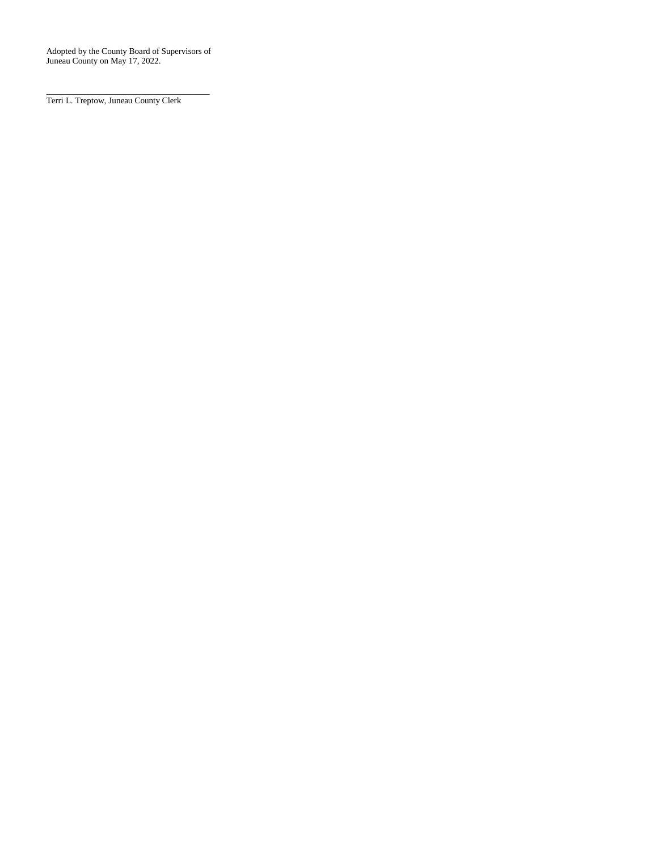Adopted by the County Board of Supervisors of Juneau County on May 17, 2022.

\_\_\_\_\_\_\_\_\_\_\_\_\_\_\_\_\_\_\_\_\_\_\_\_\_\_\_\_\_\_\_\_\_\_\_\_\_\_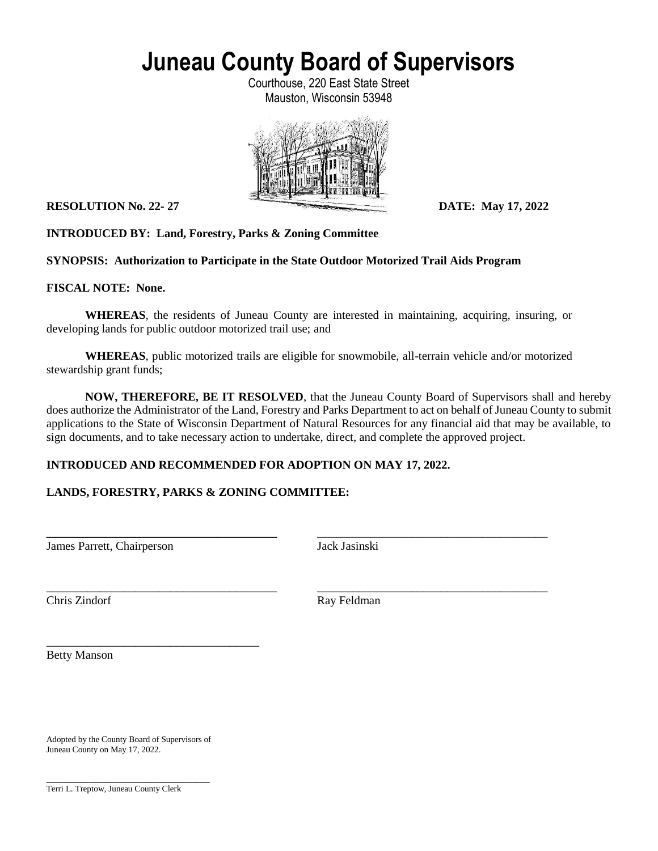Courthouse, 220 East State Street Mauston, Wisconsin 53948



**RESOLUTION No. 22-27 DATE: May 17, 2022** 

**INTRODUCED BY: Land, Forestry, Parks & Zoning Committee**

**SYNOPSIS: Authorization to Participate in the State Outdoor Motorized Trail Aids Program**

**FISCAL NOTE: None.**

**WHEREAS**, the residents of Juneau County are interested in maintaining, acquiring, insuring, or developing lands for public outdoor motorized trail use; and

**WHEREAS**, public motorized trails are eligible for snowmobile, all-terrain vehicle and/or motorized stewardship grant funds;

**\_\_\_\_\_\_\_\_\_\_\_\_\_\_\_\_\_\_\_\_\_\_\_\_\_\_\_\_\_\_\_\_\_\_\_\_\_\_\_** \_\_\_\_\_\_\_\_\_\_\_\_\_\_\_\_\_\_\_\_\_\_\_\_\_\_\_\_\_\_\_\_\_\_\_\_\_\_\_

\_\_\_\_\_\_\_\_\_\_\_\_\_\_\_\_\_\_\_\_\_\_\_\_\_\_\_\_\_\_\_\_\_\_\_\_\_\_\_ \_\_\_\_\_\_\_\_\_\_\_\_\_\_\_\_\_\_\_\_\_\_\_\_\_\_\_\_\_\_\_\_\_\_\_\_\_\_\_

**NOW, THEREFORE, BE IT RESOLVED**, that the Juneau County Board of Supervisors shall and hereby does authorize the Administrator of the Land, Forestry and Parks Department to act on behalf of Juneau County to submit applications to the State of Wisconsin Department of Natural Resources for any financial aid that may be available, to sign documents, and to take necessary action to undertake, direct, and complete the approved project.

### **INTRODUCED AND RECOMMENDED FOR ADOPTION ON MAY 17, 2022.**

### **LANDS, FORESTRY, PARKS & ZONING COMMITTEE:**

James Parrett, Chairperson Jack Jasinski

Chris Zindorf Ray Feldman

Betty Manson

Adopted by the County Board of Supervisors of Juneau County on May 17, 2022.

\_\_\_\_\_\_\_\_\_\_\_\_\_\_\_\_\_\_\_\_\_\_\_\_\_\_\_\_\_\_\_\_\_\_\_\_\_\_

\_\_\_\_\_\_\_\_\_\_\_\_\_\_\_\_\_\_\_\_\_\_\_\_\_\_\_\_\_\_\_\_\_\_\_\_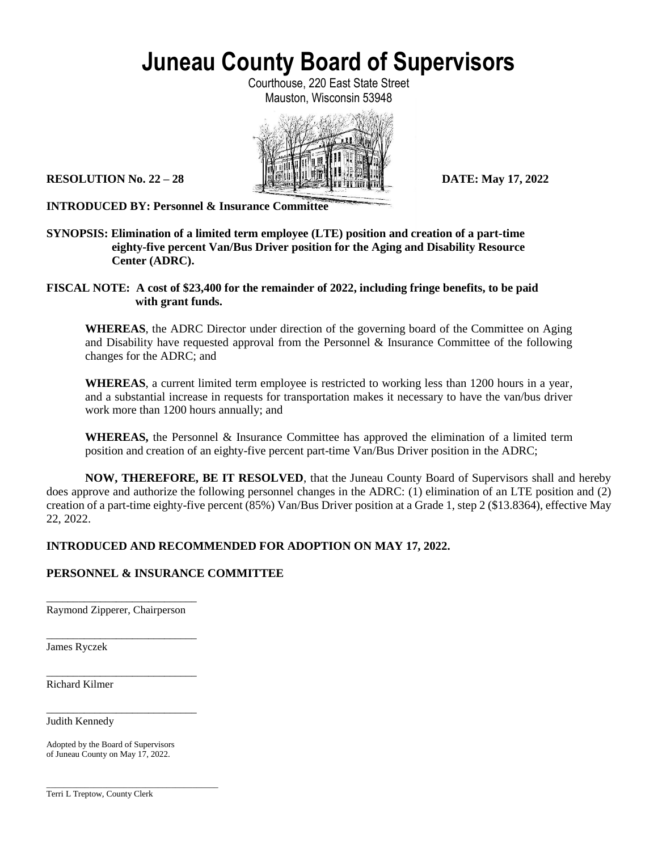Courthouse, 220 East State Street Mauston, Wisconsin 53948



**INTRODUCED BY: Personnel & Insurance Committee**

**SYNOPSIS: Elimination of a limited term employee (LTE) position and creation of a part-time eighty-five percent Van/Bus Driver position for the Aging and Disability Resource Center (ADRC).**

**FISCAL NOTE: A cost of \$23,400 for the remainder of 2022, including fringe benefits, to be paid with grant funds.**

**WHEREAS**, the ADRC Director under direction of the governing board of the Committee on Aging and Disability have requested approval from the Personnel & Insurance Committee of the following changes for the ADRC; and

**WHEREAS**, a current limited term employee is restricted to working less than 1200 hours in a year, and a substantial increase in requests for transportation makes it necessary to have the van/bus driver work more than 1200 hours annually; and

**WHEREAS,** the Personnel & Insurance Committee has approved the elimination of a limited term position and creation of an eighty-five percent part-time Van/Bus Driver position in the ADRC;

**NOW, THEREFORE, BE IT RESOLVED**, that the Juneau County Board of Supervisors shall and hereby does approve and authorize the following personnel changes in the ADRC: (1) elimination of an LTE position and (2) creation of a part-time eighty-five percent (85%) Van/Bus Driver position at a Grade 1, step 2 (\$13.8364), effective May 22, 2022.

### **INTRODUCED AND RECOMMENDED FOR ADOPTION ON MAY 17, 2022.**

### **PERSONNEL & INSURANCE COMMITTEE**

\_\_\_\_\_\_\_\_\_\_\_\_\_\_\_\_\_\_\_\_\_\_\_\_\_\_\_\_ Raymond Zipperer, Chairperson

\_\_\_\_\_\_\_\_\_\_\_\_\_\_\_\_\_\_\_\_\_\_\_\_\_\_\_\_

\_\_\_\_\_\_\_\_\_\_\_\_\_\_\_\_\_\_\_\_\_\_\_\_\_\_\_\_

\_\_\_\_\_\_\_\_\_\_\_\_\_\_\_\_\_\_\_\_\_\_\_\_\_\_\_\_

\_\_\_\_\_\_\_\_\_\_\_\_\_\_\_\_\_\_\_\_\_\_\_\_\_\_\_\_\_\_\_\_\_\_\_\_\_\_\_\_

James Ryczek

Richard Kilmer

Judith Kennedy

Adopted by the Board of Supervisors of Juneau County on May 17, 2022.

Terri L Treptow, County Clerk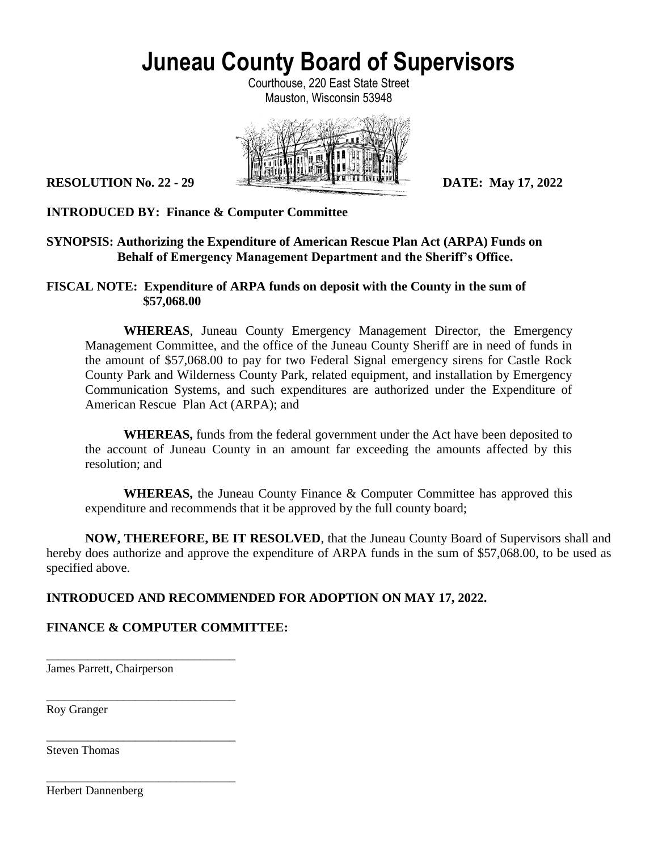Courthouse, 220 East State Street Mauston, Wisconsin 53948



# **INTRODUCED BY: Finance & Computer Committee**

# **SYNOPSIS: Authorizing the Expenditure of American Rescue Plan Act (ARPA) Funds on Behalf of Emergency Management Department and the Sheriff's Office.**

### **FISCAL NOTE: Expenditure of ARPA funds on deposit with the County in the sum of \$57,068.00**

**WHEREAS**, Juneau County Emergency Management Director, the Emergency Management Committee, and the office of the Juneau County Sheriff are in need of funds in the amount of \$57,068.00 to pay for two Federal Signal emergency sirens for Castle Rock County Park and Wilderness County Park, related equipment, and installation by Emergency Communication Systems, and such expenditures are authorized under the Expenditure of American Rescue Plan Act (ARPA); and

**WHEREAS,** funds from the federal government under the Act have been deposited to the account of Juneau County in an amount far exceeding the amounts affected by this resolution; and

**WHEREAS,** the Juneau County Finance & Computer Committee has approved this expenditure and recommends that it be approved by the full county board;

**NOW, THEREFORE, BE IT RESOLVED**, that the Juneau County Board of Supervisors shall and hereby does authorize and approve the expenditure of ARPA funds in the sum of \$57,068.00, to be used as specified above.

# **INTRODUCED AND RECOMMENDED FOR ADOPTION ON MAY 17, 2022.**

# **FINANCE & COMPUTER COMMITTEE:**

\_\_\_\_\_\_\_\_\_\_\_\_\_\_\_\_\_\_\_\_\_\_\_\_\_\_\_\_\_\_\_\_ James Parrett, Chairperson

\_\_\_\_\_\_\_\_\_\_\_\_\_\_\_\_\_\_\_\_\_\_\_\_\_\_\_\_\_\_\_\_

\_\_\_\_\_\_\_\_\_\_\_\_\_\_\_\_\_\_\_\_\_\_\_\_\_\_\_\_\_\_\_\_

\_\_\_\_\_\_\_\_\_\_\_\_\_\_\_\_\_\_\_\_\_\_\_\_\_\_\_\_\_\_\_\_

Roy Granger

Steven Thomas

Herbert Dannenberg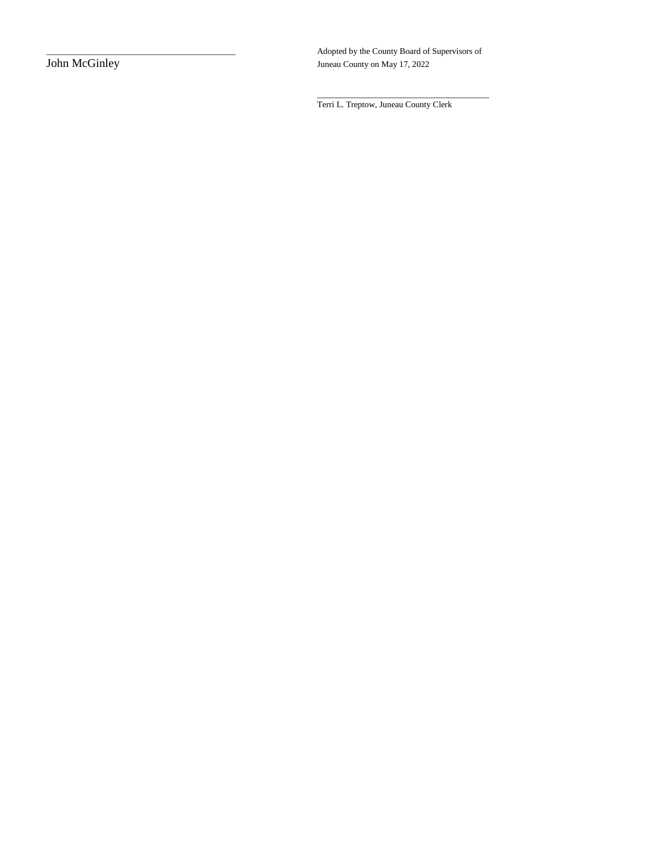Adopted by the County Board of Supervisors of John McGinley Adopted by the County on May 17, 2022 Juneau County on May 17, 2022

\_\_\_\_\_\_\_\_\_\_\_\_\_\_\_\_\_\_\_\_\_\_\_\_\_\_\_\_\_\_\_\_\_\_\_\_\_\_\_\_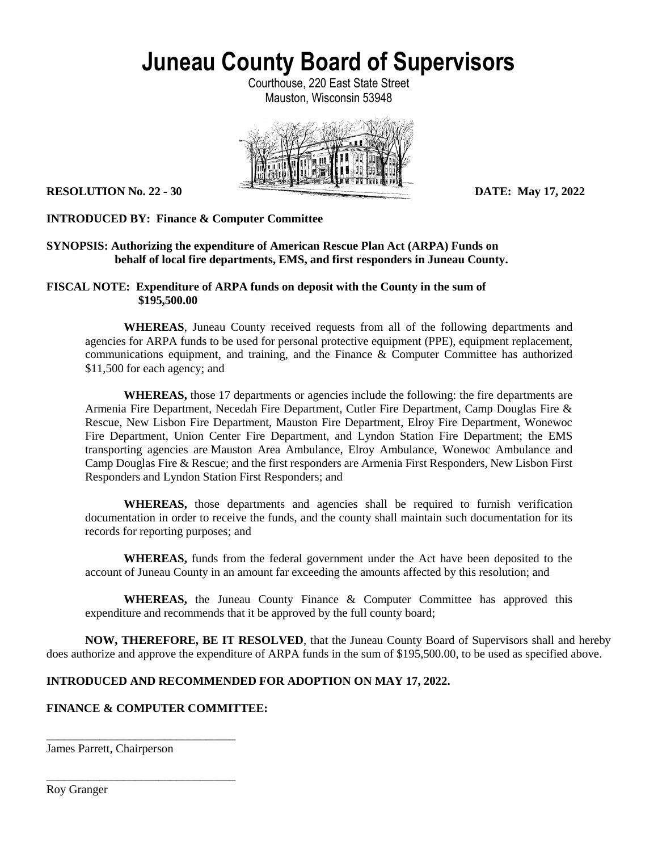Courthouse, 220 East State Street Mauston, Wisconsin 53948



### **INTRODUCED BY: Finance & Computer Committee**

### **SYNOPSIS: Authorizing the expenditure of American Rescue Plan Act (ARPA) Funds on behalf of local fire departments, EMS, and first responders in Juneau County.**

### **FISCAL NOTE: Expenditure of ARPA funds on deposit with the County in the sum of \$195,500.00**

**WHEREAS**, Juneau County received requests from all of the following departments and agencies for ARPA funds to be used for personal protective equipment (PPE), equipment replacement, communications equipment, and training, and the Finance & Computer Committee has authorized \$11,500 for each agency; and

**WHEREAS,** those 17 departments or agencies include the following: the fire departments are Armenia Fire Department, Necedah Fire Department, Cutler Fire Department, Camp Douglas Fire & Rescue, New Lisbon Fire Department, Mauston Fire Department, Elroy Fire Department, Wonewoc Fire Department, Union Center Fire Department, and Lyndon Station Fire Department; the EMS transporting agencies are Mauston Area Ambulance, Elroy Ambulance, Wonewoc Ambulance and Camp Douglas Fire & Rescue; and the first responders are Armenia First Responders, New Lisbon First Responders and Lyndon Station First Responders; and

**WHEREAS,** those departments and agencies shall be required to furnish verification documentation in order to receive the funds, and the county shall maintain such documentation for its records for reporting purposes; and

**WHEREAS,** funds from the federal government under the Act have been deposited to the account of Juneau County in an amount far exceeding the amounts affected by this resolution; and

**WHEREAS,** the Juneau County Finance & Computer Committee has approved this expenditure and recommends that it be approved by the full county board;

**NOW, THEREFORE, BE IT RESOLVED**, that the Juneau County Board of Supervisors shall and hereby does authorize and approve the expenditure of ARPA funds in the sum of \$195,500.00, to be used as specified above.

### **INTRODUCED AND RECOMMENDED FOR ADOPTION ON MAY 17, 2022.**

### **FINANCE & COMPUTER COMMITTEE:**

\_\_\_\_\_\_\_\_\_\_\_\_\_\_\_\_\_\_\_\_\_\_\_\_\_\_\_\_\_\_\_\_

\_\_\_\_\_\_\_\_\_\_\_\_\_\_\_\_\_\_\_\_\_\_\_\_\_\_\_\_\_\_\_\_

James Parrett, Chairperson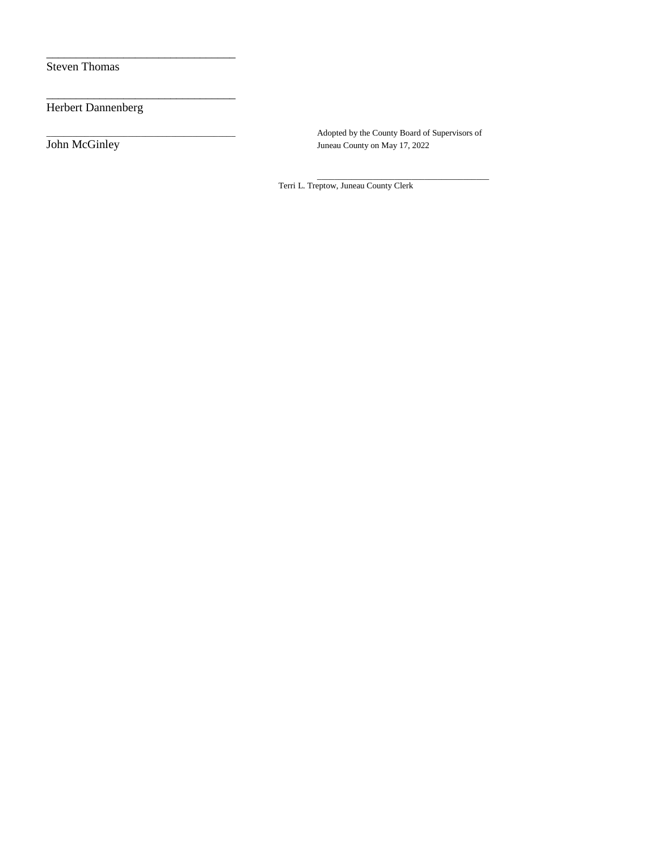Steven Thomas

Herbert Dannenberg

\_\_\_\_\_\_\_\_\_\_\_\_\_\_\_\_\_\_\_\_\_\_\_\_\_\_\_\_\_\_\_\_

\_\_\_\_\_\_\_\_\_\_\_\_\_\_\_\_\_\_\_\_\_\_\_\_\_\_\_\_\_\_\_\_

Adopted by the County Board of Supervisors of John McGinley Adopted by the County on May 17, 2022 Juneau County on May 17, 2022

> \_\_\_\_\_\_\_\_\_\_\_\_\_\_\_\_\_\_\_\_\_\_\_\_\_\_\_\_\_\_\_\_\_\_\_\_\_\_\_\_ Terri L. Treptow, Juneau County Clerk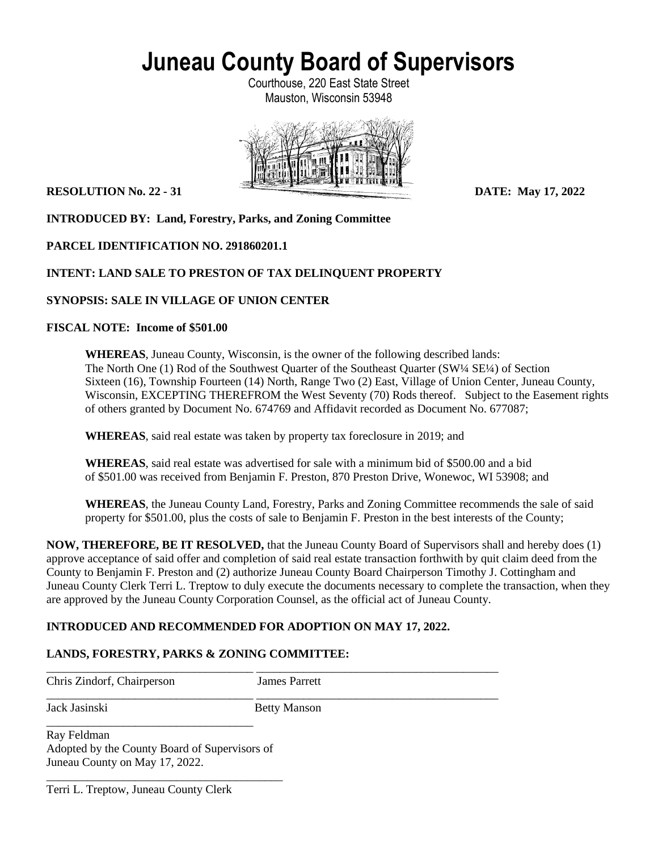Courthouse, 220 East State Street Mauston, Wisconsin 53948



**INTRODUCED BY: Land, Forestry, Parks, and Zoning Committee**

# **PARCEL IDENTIFICATION NO. 291860201.1**

# **INTENT: LAND SALE TO PRESTON OF TAX DELINQUENT PROPERTY**

# **SYNOPSIS: SALE IN VILLAGE OF UNION CENTER**

### **FISCAL NOTE: Income of \$501.00**

**WHEREAS**, Juneau County, Wisconsin, is the owner of the following described lands: The North One (1) Rod of the Southwest Quarter of the Southeast Quarter (SW¼ SE¼) of Section Sixteen (16), Township Fourteen (14) North, Range Two (2) East, Village of Union Center, Juneau County, Wisconsin, EXCEPTING THEREFROM the West Seventy (70) Rods thereof. Subject to the Easement rights of others granted by Document No. 674769 and Affidavit recorded as Document No. 677087;

**WHEREAS**, said real estate was taken by property tax foreclosure in 2019; and

**WHEREAS**, said real estate was advertised for sale with a minimum bid of \$500.00 and a bid of \$501.00 was received from Benjamin F. Preston, 870 Preston Drive, Wonewoc, WI 53908; and

**WHEREAS**, the Juneau County Land, Forestry, Parks and Zoning Committee recommends the sale of said property for \$501.00, plus the costs of sale to Benjamin F. Preston in the best interests of the County;

**NOW, THEREFORE, BE IT RESOLVED,** that the Juneau County Board of Supervisors shall and hereby does (1) approve acceptance of said offer and completion of said real estate transaction forthwith by quit claim deed from the County to Benjamin F. Preston and (2) authorize Juneau County Board Chairperson Timothy J. Cottingham and Juneau County Clerk Terri L. Treptow to duly execute the documents necessary to complete the transaction, when they are approved by the Juneau County Corporation Counsel, as the official act of Juneau County.

# **INTRODUCED AND RECOMMENDED FOR ADOPTION ON MAY 17, 2022.**

# **LANDS, FORESTRY, PARKS & ZONING COMMITTEE:**

Chris Zindorf, Chairperson James Parrett

\_\_\_\_\_\_\_\_\_\_\_\_\_\_\_\_\_\_\_\_\_\_\_\_\_\_\_\_\_\_\_\_\_\_\_ \_\_\_\_\_\_\_\_\_\_\_\_\_\_\_\_\_\_\_\_\_\_\_\_\_\_\_\_\_\_\_\_\_\_\_\_\_\_\_\_\_

\_\_\_\_\_\_\_\_\_\_\_\_\_\_\_\_\_\_\_\_\_\_\_\_\_\_\_\_\_\_\_\_\_\_\_ \_\_\_\_\_\_\_\_\_\_\_\_\_\_\_\_\_\_\_\_\_\_\_\_\_\_\_\_\_\_\_\_\_\_\_\_\_\_\_\_\_ Jack Jasinski Betty Manson

Ray Feldman Adopted by the County Board of Supervisors of Juneau County on May 17, 2022.

\_\_\_\_\_\_\_\_\_\_\_\_\_\_\_\_\_\_\_\_\_\_\_\_\_\_\_\_\_\_\_\_\_\_\_\_\_\_\_\_

\_\_\_\_\_\_\_\_\_\_\_\_\_\_\_\_\_\_\_\_\_\_\_\_\_\_\_\_\_\_\_\_\_\_\_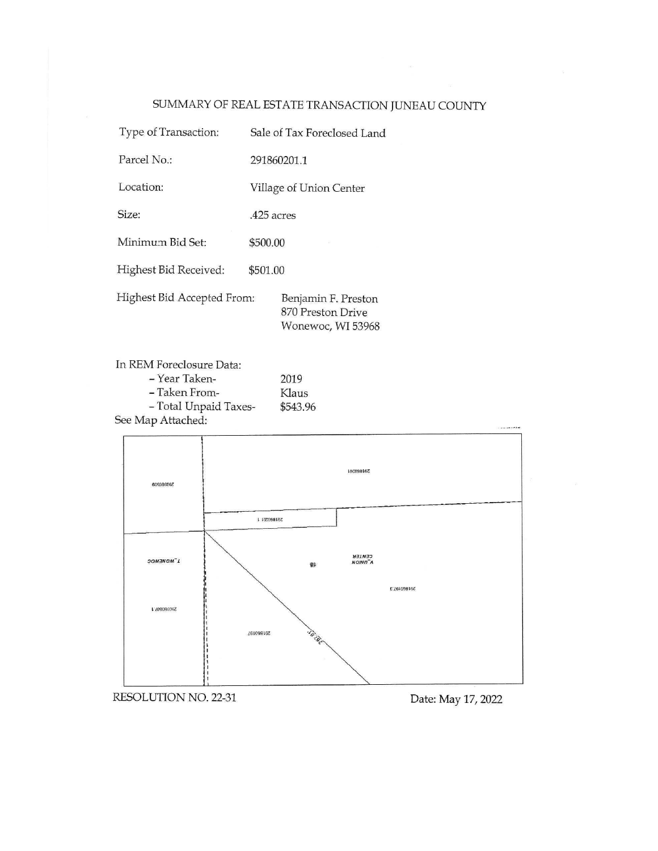# SUMMARY OF REAL ESTATE TRANSACTION JUNEAU COUNTY

| Type of Transaction:       | Sale of Tax Foreclosed Land                                   |  |  |
|----------------------------|---------------------------------------------------------------|--|--|
| Parcel No.:                | 291860201.1                                                   |  |  |
| Location:                  | Village of Union Center                                       |  |  |
| Size:                      | .425 acres                                                    |  |  |
| Minimum Bid Set:           | \$500.00                                                      |  |  |
| Highest Bid Received:      | \$501.00                                                      |  |  |
| Highest Bid Accepted From: | Benjamin F. Preston<br>870 Preston Drive<br>Wonewoc, WI 53968 |  |  |

In REM Foreclosure Data: - Year Taken-2019 - Taken From-Klaus - Total Unpaid Taxes-\$543.96 See Map Attached:



RESOLUTION NO. 22-31

Date: May 17, 2022

. . . . . . . . .